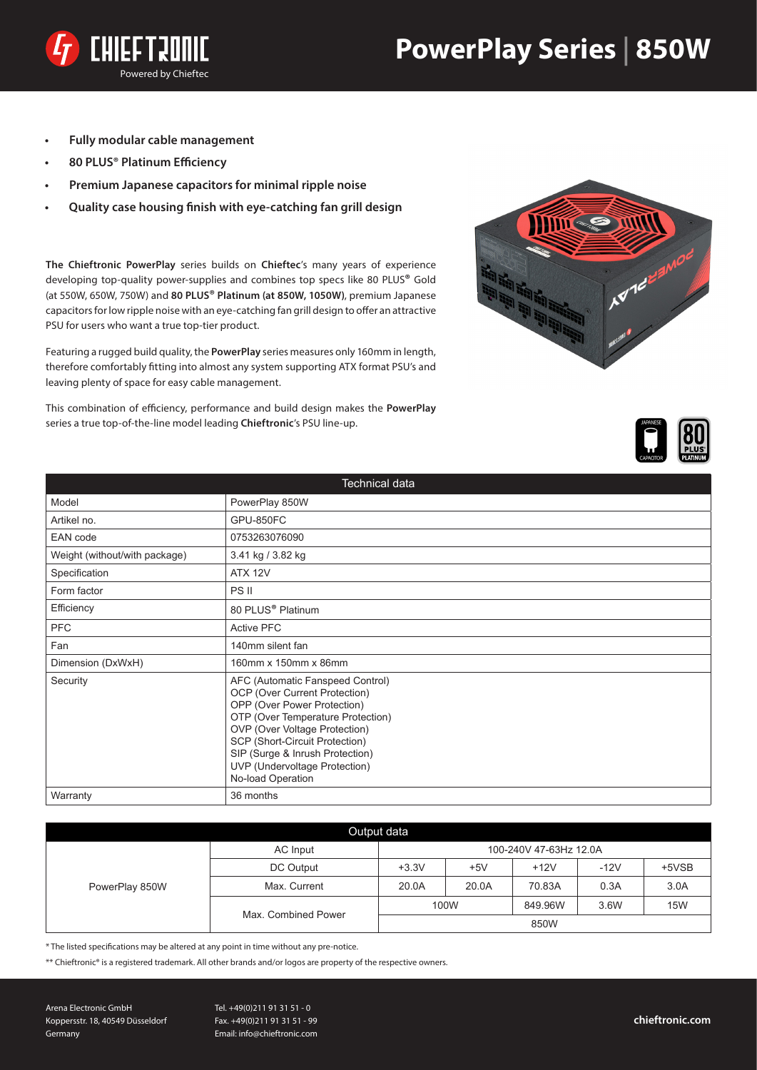



- **Fully modular cable management**
- **• 80 PLUS® Platinum Efficiency**
- **Premium Japanese capacitors for minimal ripple noise**
- **• Quality case housing finish with eye-catching fan grill design**

**The Chieftronic PowerPlay** series builds on **Chieftec**'s many years of experience developing top-quality power-supplies and combines top specs like 80 PLUS**®** Gold (at 550W, 650W, 750W) and **80 PLUS® Platinum (at 850W, 1050W)**, premium Japanese capacitors for low ripple noise with an eye-catching fan grill design to offer an attractive PSU for users who want a true top-tier product.

Featuring a rugged build quality, the **PowerPlay** series measures only 160mm in length, therefore comfortably fitting into almost any system supporting ATX format PSU's and leaving plenty of space for easy cable management.

This combination of efficiency, performance and build design makes the **PowerPlay**  series a true top-of-the-line model leading **Chieftronic**'s PSU line-up.





| <b>Technical data</b>         |                                                                                                                                                                                                                                                                                                   |  |  |  |  |
|-------------------------------|---------------------------------------------------------------------------------------------------------------------------------------------------------------------------------------------------------------------------------------------------------------------------------------------------|--|--|--|--|
| Model                         | PowerPlay 850W                                                                                                                                                                                                                                                                                    |  |  |  |  |
| Artikel no.                   | <b>GPU-850FC</b>                                                                                                                                                                                                                                                                                  |  |  |  |  |
| EAN code                      | 0753263076090                                                                                                                                                                                                                                                                                     |  |  |  |  |
| Weight (without/with package) | 3.41 kg / 3.82 kg                                                                                                                                                                                                                                                                                 |  |  |  |  |
| Specification                 | <b>ATX 12V</b>                                                                                                                                                                                                                                                                                    |  |  |  |  |
| Form factor                   | PS II                                                                                                                                                                                                                                                                                             |  |  |  |  |
| Efficiency                    | 80 PLUS <sup>®</sup> Platinum                                                                                                                                                                                                                                                                     |  |  |  |  |
| <b>PFC</b>                    | <b>Active PFC</b>                                                                                                                                                                                                                                                                                 |  |  |  |  |
| Fan                           | 140mm silent fan                                                                                                                                                                                                                                                                                  |  |  |  |  |
| Dimension (DxWxH)             | 160mm x 150mm x 86mm                                                                                                                                                                                                                                                                              |  |  |  |  |
| Security                      | AFC (Automatic Fanspeed Control)<br>OCP (Over Current Protection)<br>OPP (Over Power Protection)<br>OTP (Over Temperature Protection)<br>OVP (Over Voltage Protection)<br>SCP (Short-Circuit Protection)<br>SIP (Surge & Inrush Protection)<br>UVP (Undervoltage Protection)<br>No-load Operation |  |  |  |  |
| Warranty                      | 36 months                                                                                                                                                                                                                                                                                         |  |  |  |  |

| Output data    |                     |                        |       |         |        |            |  |  |
|----------------|---------------------|------------------------|-------|---------|--------|------------|--|--|
| PowerPlay 850W | AC Input            | 100-240V 47-63Hz 12.0A |       |         |        |            |  |  |
|                | DC Output           | $+3.3V$                | $+5V$ | $+12V$  | $-12V$ | $+5VSB$    |  |  |
|                | Max. Current        | 20.0A                  | 20.0A | 70.83A  | 0.3A   | 3.0A       |  |  |
|                | Max. Combined Power | 100W                   |       | 849.96W | 3.6W   | <b>15W</b> |  |  |
|                |                     |                        |       | 850W    |        |            |  |  |

\* The listed specifications may be altered at any point in time without any pre-notice.

\*\* Chieftronic® is a registered trademark. All other brands and/or logos are property of the respective owners.

Arena Electronic GmbH Koppersstr. 18, 40549 Düsseldorf Germany

Tel. +49(0)211 91 31 51 - 0 Fax. +49(0)211 91 31 51 - 99 Email: info@chieftronic.com